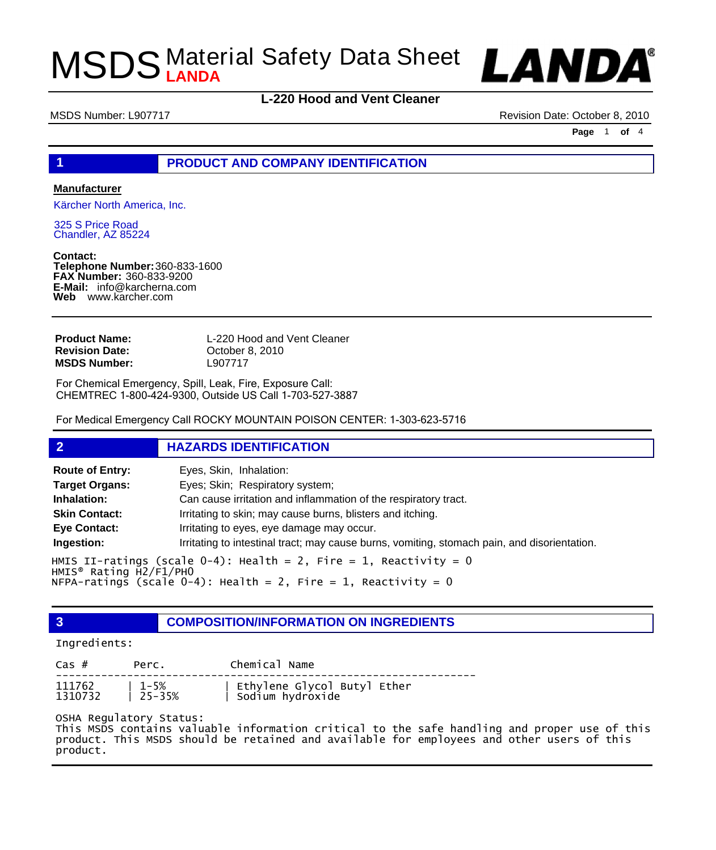

### **L-220 Hood and Vent Cleaner**

MSDS Number: L907717 **MSDS Number: L907717** And the state of the state of the state of the state of the state of the state of the state of the state of the state of the state of the state of the state of the state of the s

**Page** 1 **of** 4

### **1 PRODUCT AND COMPANY IDENTIFICATION**

#### **Manufacturer**

Kärcher North America, Inc.

325 S Price Road Chandler, AZ 85224

**Contact: Telephone Number:** 360-833-1600 **FAX Number:** 360-833-9200 **E-Mail:** info@karcherna.com **Web** www.karcher.com

| <b>Product Name:</b>  | L-220 Hood and Vent Cleaner |
|-----------------------|-----------------------------|
| <b>Revision Date:</b> | October 8, 2010             |
| <b>MSDS Number:</b>   | L907717                     |

For Chemical Emergency, Spill, Leak, Fire, Exposure Call: CHEMTREC 1-800-424-9300, Outside US Call 1-703-527-3887

For Medical Emergency Call ROCKY MOUNTAIN POISON CENTER: 1-303-623-5716

### **2 HAZARDS IDENTIFICATION**

| <b>Route of Entry:</b>                                                                       | Eyes, Skin, Inhalation:                                                                      |  |
|----------------------------------------------------------------------------------------------|----------------------------------------------------------------------------------------------|--|
| <b>Target Organs:</b>                                                                        | Eyes; Skin; Respiratory system;                                                              |  |
| Inhalation:                                                                                  | Can cause irritation and inflammation of the respiratory tract.                              |  |
| <b>Skin Contact:</b>                                                                         | Irritating to skin; may cause burns, blisters and itching.                                   |  |
| <b>Eye Contact:</b>                                                                          | Irritating to eyes, eye damage may occur.                                                    |  |
| Ingestion:                                                                                   | Irritating to intestinal tract; may cause burns, vomiting, stomach pain, and disorientation. |  |
| HMIS II-ratings (scale 0-4): Health = 2, Fire = 1, Reactivity = 0<br>HMIS® Rating H̃2/F1/PHO |                                                                                              |  |

NFPA-ratings (scale 0-4): Health = 2, Fire = 1, Reactivity = 0

**3 COMPOSITION/INFORMATION ON INGREDIENTS**

### Ingredients:

| Cas #             | Perc.                                                                   | Chemical Name                                     |
|-------------------|-------------------------------------------------------------------------|---------------------------------------------------|
| 111762<br>1310732 | $\begin{array}{ c c }\n\hline\n&1-5\%\\ &25-35\%\\ \hline\n\end{array}$ | Ethylene Glycol Butyl Ether<br>  Sodium hydroxide |

OSHA Regulatory Status:

This MSDS contains valuable information critical to the safe handling and proper use of this product. This MSDS should be retained and available for employees and other users of this product.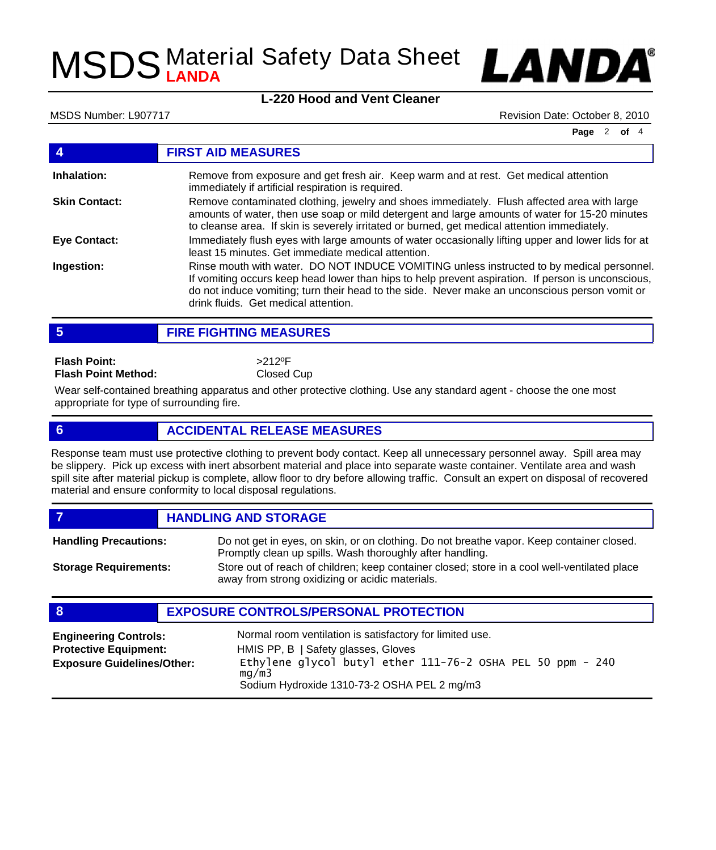

### **L-220 Hood and Vent Cleaner**

MSDS Number: L907717 Revision Date: October 8, 2010

**Page** 2 **of** 4

| $\overline{4}$       | <b>FIRST AID MEASURES</b>                                                                                                                                                                                                                                                                                                                 |
|----------------------|-------------------------------------------------------------------------------------------------------------------------------------------------------------------------------------------------------------------------------------------------------------------------------------------------------------------------------------------|
| Inhalation:          | Remove from exposure and get fresh air. Keep warm and at rest. Get medical attention<br>immediately if artificial respiration is required.                                                                                                                                                                                                |
| <b>Skin Contact:</b> | Remove contaminated clothing, jewelry and shoes immediately. Flush affected area with large<br>amounts of water, then use soap or mild detergent and large amounts of water for 15-20 minutes<br>to cleanse area. If skin is severely irritated or burned, get medical attention immediately.                                             |
| <b>Eye Contact:</b>  | Immediately flush eyes with large amounts of water occasionally lifting upper and lower lids for at<br>least 15 minutes. Get immediate medical attention.                                                                                                                                                                                 |
| Ingestion:           | Rinse mouth with water. DO NOT INDUCE VOMITING unless instructed to by medical personnel.<br>If vomiting occurs keep head lower than hips to help prevent aspiration. If person is unconscious,<br>do not induce vomiting; turn their head to the side. Never make an unconscious person vomit or<br>drink fluids. Get medical attention. |
|                      |                                                                                                                                                                                                                                                                                                                                           |

**5 FIRE FIGHTING MEASURES**

**Flash Point: Flash Point Method:** >212ºF Closed Cup

Wear self-contained breathing apparatus and other protective clothing. Use any standard agent - choose the one most appropriate for type of surrounding fire.

### **6 ACCIDENTAL RELEASE MEASURES**

Response team must use protective clothing to prevent body contact. Keep all unnecessary personnel away. Spill area may be slippery. Pick up excess with inert absorbent material and place into separate waste container. Ventilate area and wash spill site after material pickup is complete, allow floor to dry before allowing traffic. Consult an expert on disposal of recovered material and ensure conformity to local disposal regulations.

*HANDLING AND STORAGE* 

**Handling Precautions:**

**Storage Requirements:**

Do not get in eyes, on skin, or on clothing. Do not breathe vapor. Keep container closed. Promptly clean up spills. Wash thoroughly after handling. Store out of reach of children; keep container closed; store in a cool well-ventilated place away from strong oxidizing or acidic materials.

## **8 EXPOSURE CONTROLS/PERSONAL PROTECTION**

| <b>Engineering Controls:</b><br><b>Protective Equipment:</b><br><b>Exposure Guidelines/Other:</b> | Normal room ventilation is satisfactory for limited use.<br>HMIS PP, B   Safety glasses, Gloves<br>Ethylene glycol butyl ether 111-76-2 OSHA PEL 50 ppm - 240<br>ma/m3 |
|---------------------------------------------------------------------------------------------------|------------------------------------------------------------------------------------------------------------------------------------------------------------------------|
|                                                                                                   | Sodium Hydroxide 1310-73-2 OSHA PEL 2 mg/m3                                                                                                                            |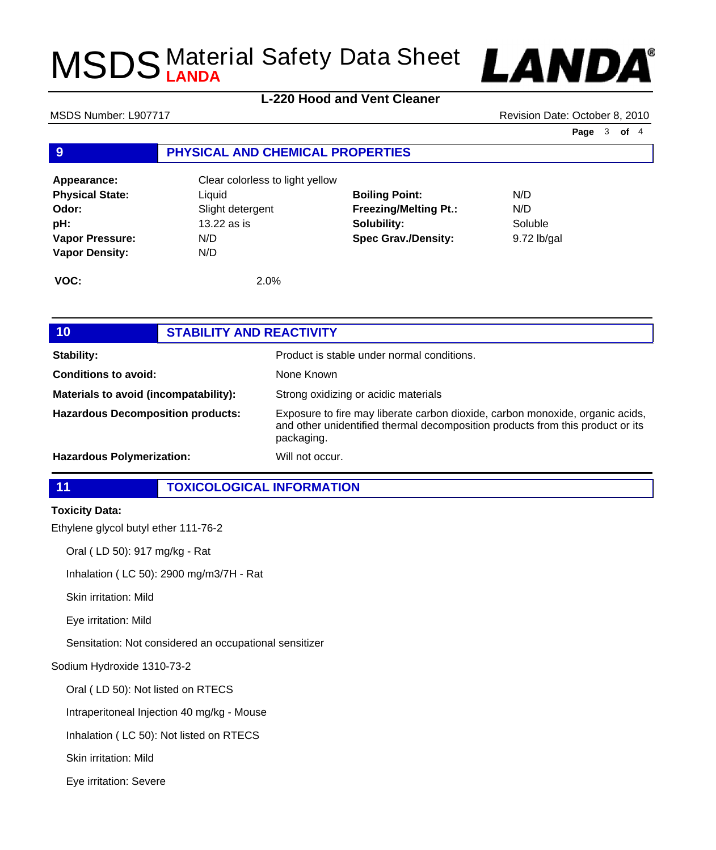

### **L-220 Hood and Vent Cleaner**

MSDS Number: L907717 Revision Date: October 8, 2010

**Page** 3 **of** 4

## **9 PHYSICAL AND CHEMICAL PROPERTIES**

| Appearance:            | Clear colorless to light yellow |                              |               |
|------------------------|---------------------------------|------------------------------|---------------|
| <b>Physical State:</b> | Liauid                          | <b>Boiling Point:</b>        | N/D           |
| Odor:                  | Slight detergent                | <b>Freezing/Melting Pt.:</b> | N/D           |
| pH:                    | 13.22 as is                     | Solubility:                  | Soluble       |
| <b>Vapor Pressure:</b> | N/D                             | <b>Spec Grav./Density:</b>   | $9.72$ lb/gal |
| <b>Vapor Density:</b>  | N/D                             |                              |               |
| VOC:                   | 2.0%                            |                              |               |

| 10 <sub>l</sub>                          | <b>STABILITY AND REACTIVITY</b> |                                                                                                                                                                               |
|------------------------------------------|---------------------------------|-------------------------------------------------------------------------------------------------------------------------------------------------------------------------------|
| <b>Stability:</b>                        |                                 | Product is stable under normal conditions.                                                                                                                                    |
| Conditions to avoid:                     |                                 | None Known                                                                                                                                                                    |
| Materials to avoid (incompatability):    |                                 | Strong oxidizing or acidic materials                                                                                                                                          |
| <b>Hazardous Decomposition products:</b> |                                 | Exposure to fire may liberate carbon dioxide, carbon monoxide, organic acids,<br>and other unidentified thermal decomposition products from this product or its<br>packaging. |
| <b>Hazardous Polymerization:</b>         |                                 | Will not occur.                                                                                                                                                               |

### **11 TOXICOLOGICAL INFORMATION**

### **Toxicity Data:**

Ethylene glycol butyl ether 111-76-2

Oral ( LD 50): 917 mg/kg - Rat

Inhalation ( LC 50): 2900 mg/m3/7H - Rat

Skin irritation: Mild

Eye irritation: Mild

Sensitation: Not considered an occupational sensitizer

Sodium Hydroxide 1310-73-2

Oral ( LD 50): Not listed on RTECS

Intraperitoneal Injection 40 mg/kg - Mouse

Inhalation ( LC 50): Not listed on RTECS

Skin irritation: Mild

Eye irritation: Severe